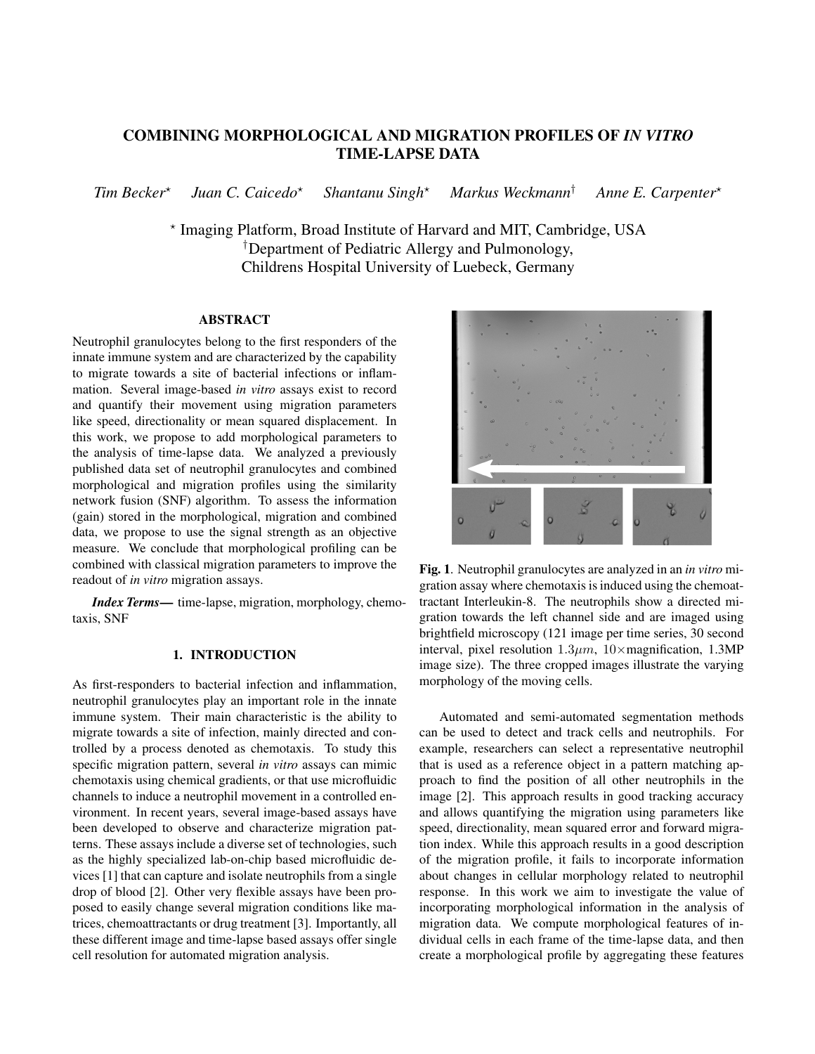# COMBINING MORPHOLOGICAL AND MIGRATION PROFILES OF *IN VITRO* TIME-LAPSE DATA

*Tim Becker*? *Juan C. Caicedo*? *Shantanu Singh*? *Markus Weckmann*† *Anne E. Carpenter*?

> ? Imaging Platform, Broad Institute of Harvard and MIT, Cambridge, USA †Department of Pediatric Allergy and Pulmonology, Childrens Hospital University of Luebeck, Germany

# ABSTRACT

Neutrophil granulocytes belong to the first responders of the innate immune system and are characterized by the capability to migrate towards a site of bacterial infections or inflammation. Several image-based *in vitro* assays exist to record and quantify their movement using migration parameters like speed, directionality or mean squared displacement. In this work, we propose to add morphological parameters to the analysis of time-lapse data. We analyzed a previously published data set of neutrophil granulocytes and combined morphological and migration profiles using the similarity network fusion (SNF) algorithm. To assess the information (gain) stored in the morphological, migration and combined data, we propose to use the signal strength as an objective measure. We conclude that morphological profiling can be combined with classical migration parameters to improve the readout of *in vitro* migration assays.

*Index Terms*— time-lapse, migration, morphology, chemotaxis, SNF

# 1. INTRODUCTION

As first-responders to bacterial infection and inflammation, neutrophil granulocytes play an important role in the innate immune system. Their main characteristic is the ability to migrate towards a site of infection, mainly directed and controlled by a process denoted as chemotaxis. To study this specific migration pattern, several *in vitro* assays can mimic chemotaxis using chemical gradients, or that use microfluidic channels to induce a neutrophil movement in a controlled environment. In recent years, several image-based assays have been developed to observe and characterize migration patterns. These assays include a diverse set of technologies, such as the highly specialized lab-on-chip based microfluidic devices [1] that can capture and isolate neutrophils from a single drop of blood [2]. Other very flexible assays have been proposed to easily change several migration conditions like matrices, chemoattractants or drug treatment [3]. Importantly, all these different image and time-lapse based assays offer single cell resolution for automated migration analysis.



Fig. 1. Neutrophil granulocytes are analyzed in an *in vitro* migration assay where chemotaxis is induced using the chemoattractant Interleukin-8. The neutrophils show a directed migration towards the left channel side and are imaged using brightfield microscopy (121 image per time series, 30 second interval, pixel resolution  $1.3\mu m$ ,  $10\times$  magnification, 1.3MP image size). The three cropped images illustrate the varying morphology of the moving cells.

Automated and semi-automated segmentation methods can be used to detect and track cells and neutrophils. For example, researchers can select a representative neutrophil that is used as a reference object in a pattern matching approach to find the position of all other neutrophils in the image [2]. This approach results in good tracking accuracy and allows quantifying the migration using parameters like speed, directionality, mean squared error and forward migration index. While this approach results in a good description of the migration profile, it fails to incorporate information about changes in cellular morphology related to neutrophil response. In this work we aim to investigate the value of incorporating morphological information in the analysis of migration data. We compute morphological features of individual cells in each frame of the time-lapse data, and then create a morphological profile by aggregating these features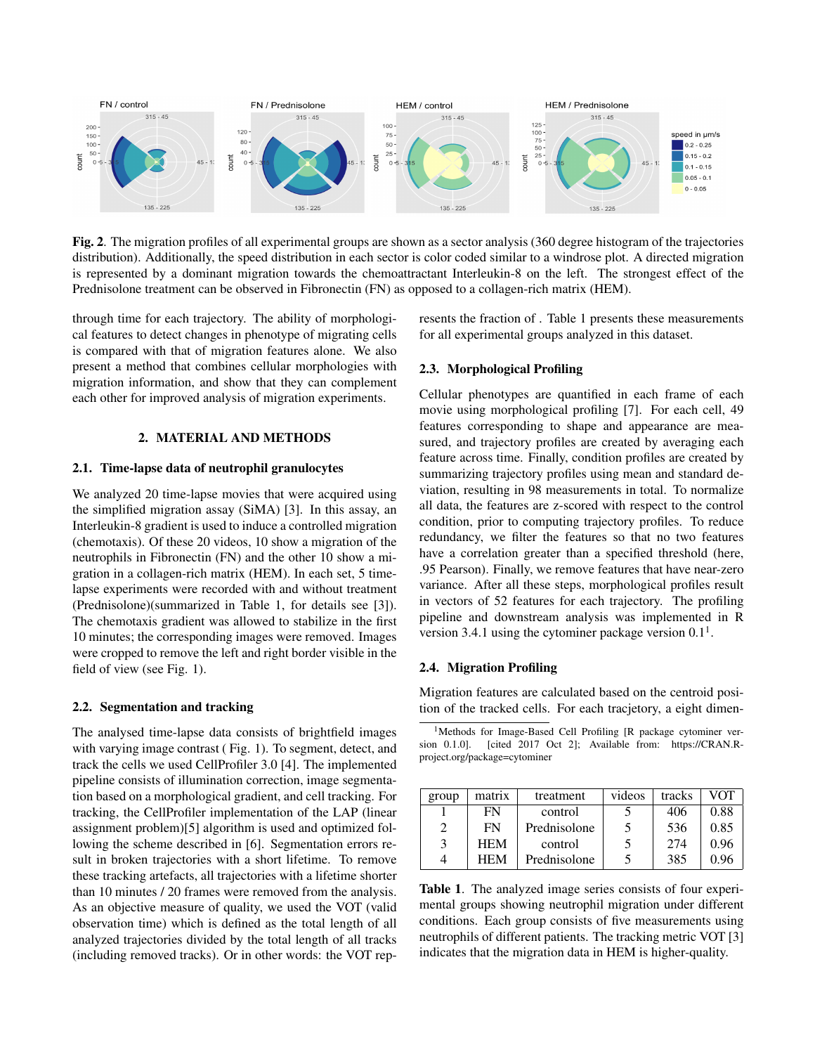

Fig. 2. The migration profiles of all experimental groups are shown as a sector analysis (360 degree histogram of the trajectories distribution). Additionally, the speed distribution in each sector is color coded similar to a windrose plot. A directed migration is represented by a dominant migration towards the chemoattractant Interleukin-8 on the left. The strongest effect of the Prednisolone treatment can be observed in Fibronectin (FN) as opposed to a collagen-rich matrix (HEM).

through time for each trajectory. The ability of morphological features to detect changes in phenotype of migrating cells is compared with that of migration features alone. We also present a method that combines cellular morphologies with migration information, and show that they can complement each other for improved analysis of migration experiments.

# 2. MATERIAL AND METHODS

# 2.1. Time-lapse data of neutrophil granulocytes

We analyzed 20 time-lapse movies that were acquired using the simplified migration assay (SiMA) [3]. In this assay, an Interleukin-8 gradient is used to induce a controlled migration (chemotaxis). Of these 20 videos, 10 show a migration of the neutrophils in Fibronectin (FN) and the other 10 show a migration in a collagen-rich matrix (HEM). In each set, 5 timelapse experiments were recorded with and without treatment (Prednisolone)(summarized in Table 1, for details see [3]). The chemotaxis gradient was allowed to stabilize in the first 10 minutes; the corresponding images were removed. Images were cropped to remove the left and right border visible in the field of view (see Fig. 1).

#### 2.2. Segmentation and tracking

The analysed time-lapse data consists of brightfield images with varying image contrast (Fig. 1). To segment, detect, and track the cells we used CellProfiler 3.0 [4]. The implemented pipeline consists of illumination correction, image segmentation based on a morphological gradient, and cell tracking. For tracking, the CellProfiler implementation of the LAP (linear assignment problem)[5] algorithm is used and optimized following the scheme described in [6]. Segmentation errors result in broken trajectories with a short lifetime. To remove these tracking artefacts, all trajectories with a lifetime shorter than 10 minutes / 20 frames were removed from the analysis. As an objective measure of quality, we used the VOT (valid observation time) which is defined as the total length of all analyzed trajectories divided by the total length of all tracks (including removed tracks). Or in other words: the VOT represents the fraction of . Table 1 presents these measurements for all experimental groups analyzed in this dataset.

## 2.3. Morphological Profiling

Cellular phenotypes are quantified in each frame of each movie using morphological profiling [7]. For each cell, 49 features corresponding to shape and appearance are measured, and trajectory profiles are created by averaging each feature across time. Finally, condition profiles are created by summarizing trajectory profiles using mean and standard deviation, resulting in 98 measurements in total. To normalize all data, the features are z-scored with respect to the control condition, prior to computing trajectory profiles. To reduce redundancy, we filter the features so that no two features have a correlation greater than a specified threshold (here, .95 Pearson). Finally, we remove features that have near-zero variance. After all these steps, morphological profiles result in vectors of 52 features for each trajectory. The profiling pipeline and downstream analysis was implemented in R version 3.4.1 using the cytominer package version  $0.1<sup>1</sup>$ .

# 2.4. Migration Profiling

Migration features are calculated based on the centroid position of the tracked cells. For each tracjetory, a eight dimen-

<sup>&</sup>lt;sup>1</sup>Methods for Image-Based Cell Profiling [R package cytominer version 0.1.0]. [cited 2017 Oct 2]; Available from: https://CRAN.Rproject.org/package=cytominer

| group | matrix     | treatment    | videos         | tracks | VOT  |
|-------|------------|--------------|----------------|--------|------|
|       | FN         | control      |                | 406    | 0.88 |
|       | FN         | Prednisolone | 5              | 536    | 0.85 |
| 3     | <b>HEM</b> | control      | $\mathfrak{H}$ | 274    | 0.96 |
|       | <b>HEM</b> | Prednisolone |                | 385    | 0.96 |

Table 1. The analyzed image series consists of four experimental groups showing neutrophil migration under different conditions. Each group consists of five measurements using neutrophils of different patients. The tracking metric VOT [3] indicates that the migration data in HEM is higher-quality.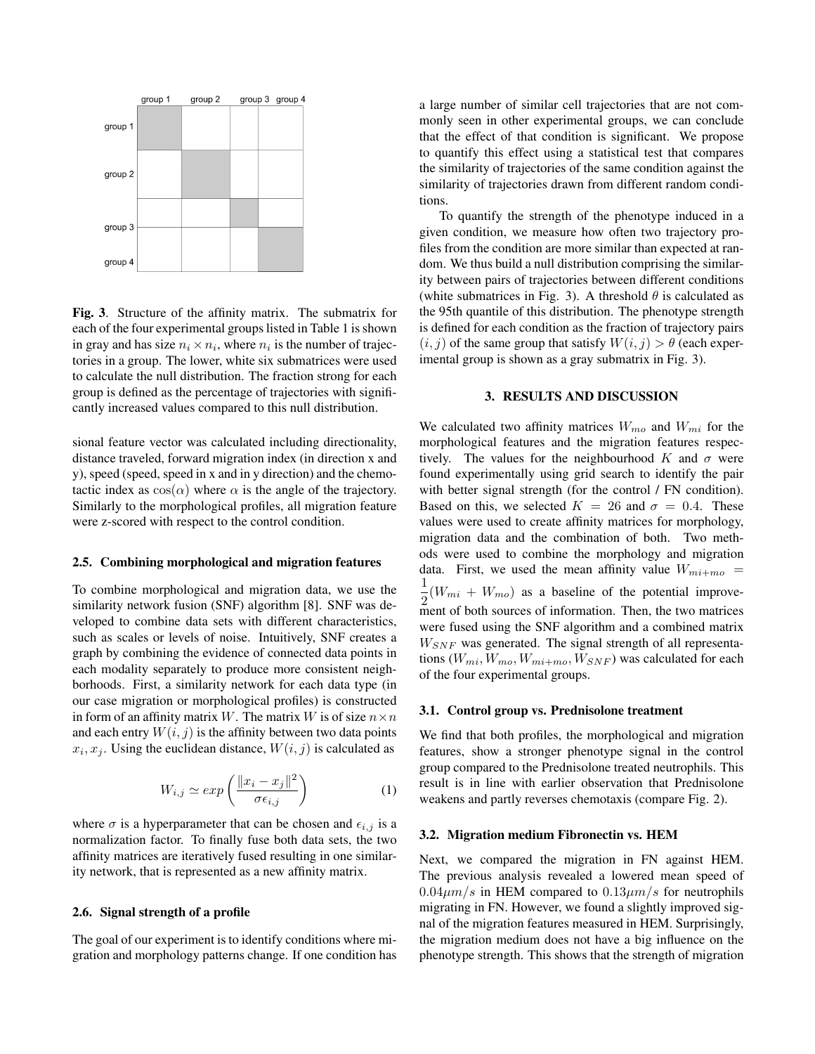

Fig. 3. Structure of the affinity matrix. The submatrix for each of the four experimental groups listed in Table 1 is shown in gray and has size  $n_i \times n_i$ , where  $n_i$  is the number of trajectories in a group. The lower, white six submatrices were used to calculate the null distribution. The fraction strong for each group is defined as the percentage of trajectories with significantly increased values compared to this null distribution.

sional feature vector was calculated including directionality, distance traveled, forward migration index (in direction x and y), speed (speed, speed in x and in y direction) and the chemotactic index as  $cos(\alpha)$  where  $\alpha$  is the angle of the trajectory. Similarly to the morphological profiles, all migration feature were z-scored with respect to the control condition.

### 2.5. Combining morphological and migration features

To combine morphological and migration data, we use the similarity network fusion (SNF) algorithm [8]. SNF was developed to combine data sets with different characteristics, such as scales or levels of noise. Intuitively, SNF creates a graph by combining the evidence of connected data points in each modality separately to produce more consistent neighborhoods. First, a similarity network for each data type (in our case migration or morphological profiles) is constructed in form of an affinity matrix W. The matrix W is of size  $n \times n$ and each entry  $W(i, j)$  is the affinity between two data points  $x_i, x_j$ . Using the euclidean distance,  $W(i, j)$  is calculated as

$$
W_{i,j} \simeq \exp\left(\frac{\|x_i - x_j\|^2}{\sigma \epsilon_{i,j}}\right) \tag{1}
$$

where  $\sigma$  is a hyperparameter that can be chosen and  $\epsilon_{i,j}$  is a normalization factor. To finally fuse both data sets, the two affinity matrices are iteratively fused resulting in one similarity network, that is represented as a new affinity matrix.

## 2.6. Signal strength of a profile

The goal of our experiment is to identify conditions where migration and morphology patterns change. If one condition has a large number of similar cell trajectories that are not commonly seen in other experimental groups, we can conclude that the effect of that condition is significant. We propose to quantify this effect using a statistical test that compares the similarity of trajectories of the same condition against the similarity of trajectories drawn from different random conditions.

To quantify the strength of the phenotype induced in a given condition, we measure how often two trajectory profiles from the condition are more similar than expected at random. We thus build a null distribution comprising the similarity between pairs of trajectories between different conditions (white submatrices in Fig. 3). A threshold  $\theta$  is calculated as the 95th quantile of this distribution. The phenotype strength is defined for each condition as the fraction of trajectory pairs  $(i, j)$  of the same group that satisfy  $W(i, j) > \theta$  (each experimental group is shown as a gray submatrix in Fig. 3).

#### 3. RESULTS AND DISCUSSION

We calculated two affinity matrices  $W_{mo}$  and  $W_{mi}$  for the morphological features and the migration features respectively. The values for the neighbourhood K and  $\sigma$  were found experimentally using grid search to identify the pair with better signal strength (for the control / FN condition). Based on this, we selected  $K = 26$  and  $\sigma = 0.4$ . These values were used to create affinity matrices for morphology, migration data and the combination of both. Two methods were used to combine the morphology and migration data. First, we used the mean affinity value  $W_{mi+mo}$  = 1  $\frac{1}{2}(W_{mi} + W_{mo})$  as a baseline of the potential improvement of both sources of information. Then, the two matrices were fused using the SNF algorithm and a combined matrix  $W_{SNF}$  was generated. The signal strength of all representations  $(W_{mi}, W_{mo}, W_{mi+mo}, W_{SNF})$  was calculated for each of the four experimental groups.

#### 3.1. Control group vs. Prednisolone treatment

We find that both profiles, the morphological and migration features, show a stronger phenotype signal in the control group compared to the Prednisolone treated neutrophils. This result is in line with earlier observation that Prednisolone weakens and partly reverses chemotaxis (compare Fig. 2).

#### 3.2. Migration medium Fibronectin vs. HEM

Next, we compared the migration in FN against HEM. The previous analysis revealed a lowered mean speed of  $0.04 \mu m/s$  in HEM compared to  $0.13 \mu m/s$  for neutrophils migrating in FN. However, we found a slightly improved signal of the migration features measured in HEM. Surprisingly, the migration medium does not have a big influence on the phenotype strength. This shows that the strength of migration